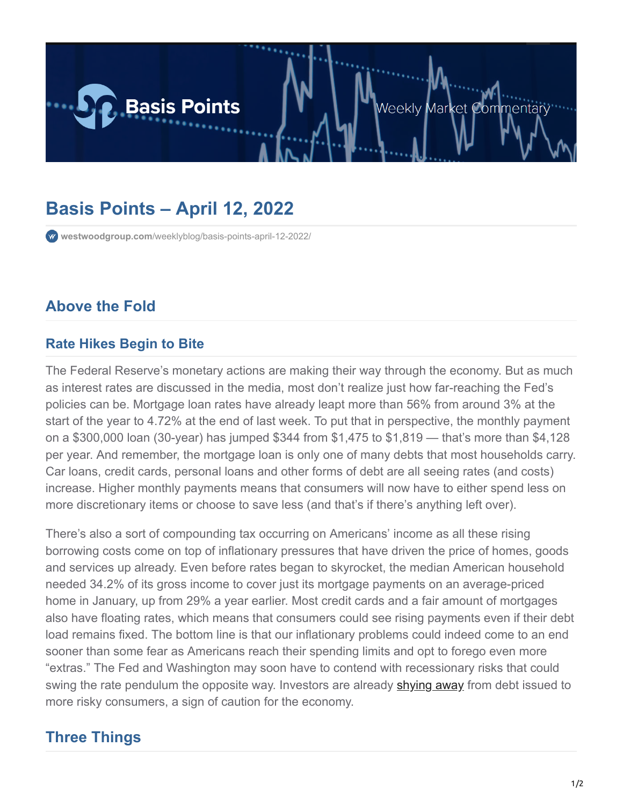

# **Basis Points – April 12, 2022**

**westwoodgroup.com**[/weeklyblog/basis-points-april-12-2022/](https://westwoodgroup.com/weeklyblog/basis-points-april-12-2022/)

# **Above the Fold**

#### **Rate Hikes Begin to Bite**

The Federal Reserve's monetary actions are making their way through the economy. But as much as interest rates are discussed in the media, most don't realize just how far-reaching the Fed's policies can be. Mortgage loan rates have already leapt more than 56% from around 3% at the start of the year to 4.72% at the end of last week. To put that in perspective, the monthly payment on a \$300,000 loan (30-year) has jumped \$344 from \$1,475 to \$1,819 — that's more than \$4,128 per year. And remember, the mortgage loan is only one of many debts that most households carry. Car loans, credit cards, personal loans and other forms of debt are all seeing rates (and costs) increase. Higher monthly payments means that consumers will now have to either spend less on more discretionary items or choose to save less (and that's if there's anything left over).

There's also a sort of compounding tax occurring on Americans' income as all these rising borrowing costs come on top of inflationary pressures that have driven the price of homes, goods and services up already. Even before rates began to skyrocket, the median American household needed 34.2% of its gross income to cover just its mortgage payments on an average-priced home in January, up from 29% a year earlier. Most credit cards and a fair amount of mortgages also have floating rates, which means that consumers could see rising payments even if their debt load remains fixed. The bottom line is that our inflationary problems could indeed come to an end sooner than some fear as Americans reach their spending limits and opt to forego even more "extras." The Fed and Washington may soon have to contend with recessionary risks that could swing the rate pendulum the opposite way. Investors are already **shying away** from debt issued to more risky consumers, a sign of caution for the economy.

## **Three Things**